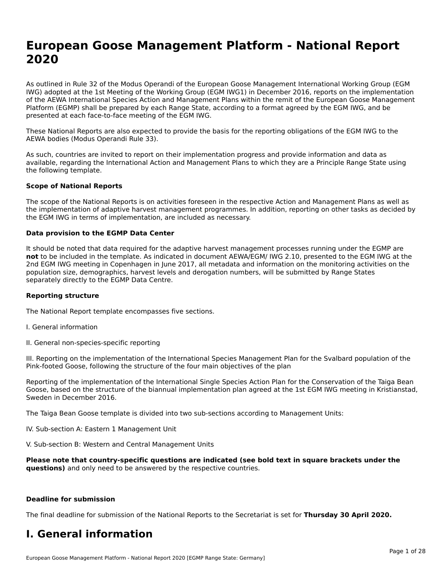# **European Goose Management Platform - National Report**European Goose Management Platform - National **Neport**<br>2020

As outlined in Rule 32 of the Modus Operandi of the European Goose Management International Working Group (EGM As buthled in Rule 32 of the Modus Operandi of the Lufopean Goose Management International Working Group (LGM<br>IWG) adopted at the 1st Meeting of the Working Group (EGM IWG1) in December 2016, reports on the implementation of the AEWA International Species Action and Management Plans within the remit of the European Goose Management Platform (EGMP) shall be prepared by each Range State, according to a format agreed by the EGM IWG, and be presented at each face-to-face meeting of the EGM IWG.

These National Reports are also expected to provide the basis for the reporting obligations of the EGM IWG to the AEWA bodies (Modus Operandi Rule 33).

As such, countries are invited to report on their implementation progress and provide information and data as<br>available, regarding the International Action and Management Plans to which they are a Principle Range State usi available, regarding the International Action and Management Plans to which they are a Principle Range State using the following template.

#### **Scope of National Reports**

The scope of the National Reports is on activities foreseen in the respective Action and Management Plans as well as The scope of the National Reports is on activities foreseen in the respective Action and Management Plans as well as<br>the implementation of adaptive harvest management programmes. In addition, reporting on other tasks as de the EGM IWG in terms of implementation, are included as necessary.

#### **Data provision to the EGMP Data Center**

It should be noted that data required for the adaptive harvest management processes running under the EGMP are **not** to be included in the template. As indicated in document AEWA/EGM/ IWG 2.10, presented to the EGM IWG at the 2nd EGM IWG meeting in Copenhagen in June 2017, all metadata and information on the monitoring activities on the population size, demographics, harvest levels and derogation numbers, will be submitted by Range States separately directly to the EGMP Data Centre.

#### **Reporting structure**

The National Report template encompasses five sections.

- I. General information
- II. General non-species-specific reporting

III. Reporting on the implementation of the International Species Management Plan for the Svalbard population of the

Reporting of the implementation of the International Single Species Action Plan for the Conservation of the Taiga Bean Reporting of the implementation of the international single species Action Fram for the conservation of the laiga beam<br>Goose, based on the structure of the biannual implementation plan agreed at the 1st EGM IWG meeting in

The Taiga Bean Goose template is divided into two sub-sections according to Management Units:

IV. Sub-section A: Eastern 1 Management Unit

V. Sub-section B: Western and Central Management Units

Please note that country-specific questions are indicated (see bold text in square brackets under the **questions)** and only need to be answered by the respective countries.

#### **Deadline for submission**

The final deadline for submission of the National Reports to the Secretariat is set for **Thursday 30 April 2020.**

#### **I. General information**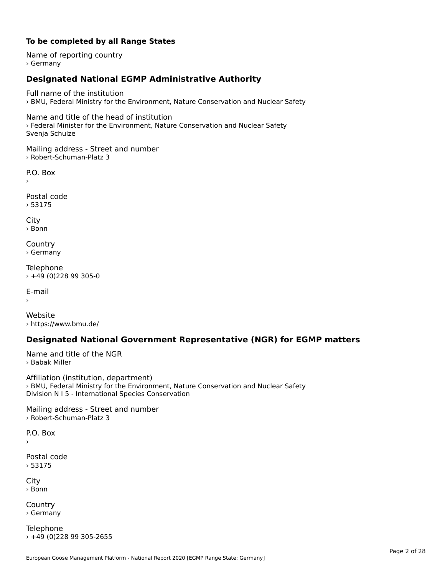#### **To be completed by all Range States**

Name of reporting country › Germany

# **Designated National EGMP Administrative Authority**

Full name of the institution› BMU, Federal Ministry for the Environment, Nature Conservation and Nuclear Safety

Name and title of the head of institution › Federal Minister for the Environment, Nature Conservation and Nuclear Safety Svenja Schulze

Mailing address - Street and number › Robert-Schuman-Platz 3

 $\overline{P}$ ›

Postal code › 53175

City › Bonn

**Country** › Germany

Telephone › +49 (0)228 99 305-0

E-mail›

Website› https://www.bmu.de/

### **Designated National Government Representative (NGR) for EGMP matters**

Name and title of the NGR › Babak Miller

Affiliation (institution, department) Arimation (institution, acpartment)<br>> BMU, Federal Ministry for the Environment, Nature Conservation and Nuclear Safety Division N I 5 - International Species Conservation

Mailing address - Street and number › Robert-Schuman-Platz 3

P.O. Box›

Postal code› 53175

City › Bonn

**Country** › Germany

Telephone › +49 (0)228 99 305-2655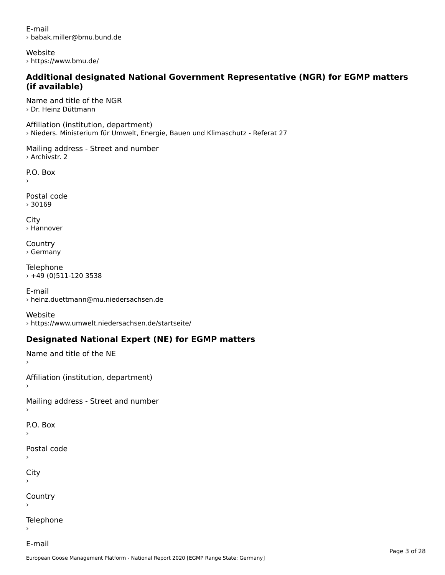E-mail› babak.miller@bmu.bund.de

Website › https://www.bmu.de/

#### **Additional designated National Government Representative (NGR) for EGMP matters (if available)**(if available)

Name and title of the NGR › Dr. Heinz Düttmann

Affiliation (institution, department) › Nieders. Ministerium für Umwelt, Energie, Bauen und Klimaschutz - Referat 27

Mailing address - Street and number › Archivstr. 2

P.O. Box

Postal code› 30169

City › Hannover

**Country** › Germany

Telephone › +49 (0)511-120 3538

E-mail › heinz.duettmann@mu.niedersachsen.de

Website› https://www.umwelt.niedersachsen.de/startseite/

# **Designated National Expert (NE) for EGMP matters**

Name and title of the NE

Affiliation (institution, department)

Mailing address - Street and number

```
P.O. Box
```
›

›

Postal code

City

›

**Country** 

Telephone

E-mail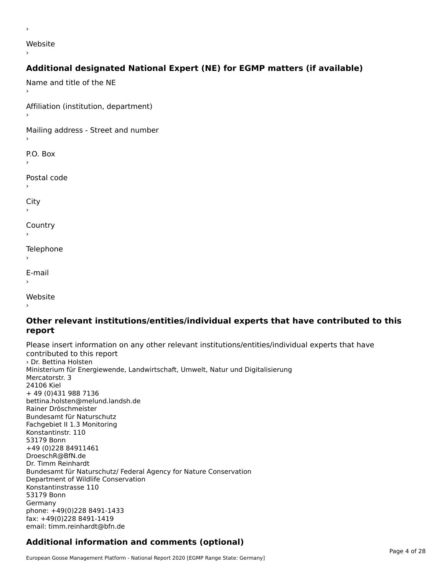website<br>Website

#### ›

›

# **Additional designated National Expert (NE) for EGMP matters (if available)**

Name and title of the NE›Affiliation (institution, department)›Mailing address - Street and number P.O. Box Postal code› $\mathbf{C}^{\text{th}}$ ›**Country** Telephone E-mail›website<br>Website ›

#### **Other relevant institutions/entities/individual experts that have contributed to this report**report

Please insert information on any other relevant institutions/entities/individual experts that have riease insert information<br>contributed to this report › Dr. Bettina HolstenMinisterium für Energiewende, Landwirtschaft, Umwelt, Natur und Digitalisierung ministerium iu<br>Mercatorstr. 3 24106 Kiel+ 49 (0)431 988 7136 bettina.holsten@melund.landsh.de Rainer DröschmeisterRamer Droschmeister<br>Bundesamt für Naturschutz Fachgebiet II 1.3 Monitoring rachgebiet in 1.5 M<br>Konstantinstr. 110 53179 Bonn +49 (0)228 84911461DroeschR@BfN.de Droeschiv@Driv.ue<br>Dr. Timm Reinhardt Bundesamt für Naturschutz/ Federal Agency for Nature Conservation Bundesannt für Naturschutz/Tederar<br>Department of Wildlife Conservation Konstantinstrasse 11053179 Bonn ou פונכ<br>Germany phone: +49(0)228 8491-1433 fax: +49(0)228 8491-1419 iax. +49(0)220 0491-1419<br>email: timm.reinhardt@bfn.de

# **Additional information and comments (optional)**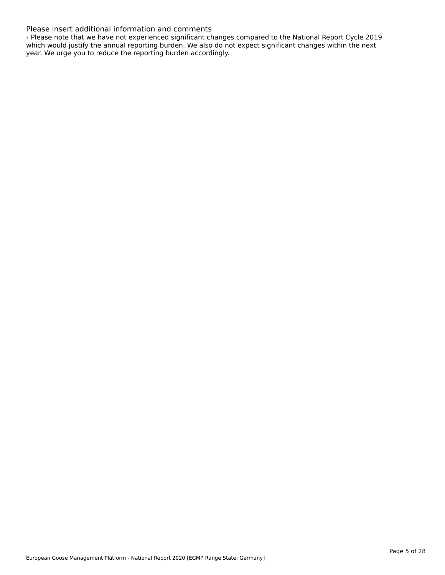#### Please insert additional information and comments

› Please note that we have not experienced significant changes compared to the National Report Cycle 2019 which would justify the annual reporting burden. We also do not expect significant changes within the next which would justify the annual reporting burdent we also do in<br>year. We urge you to reduce the reporting burden accordingly.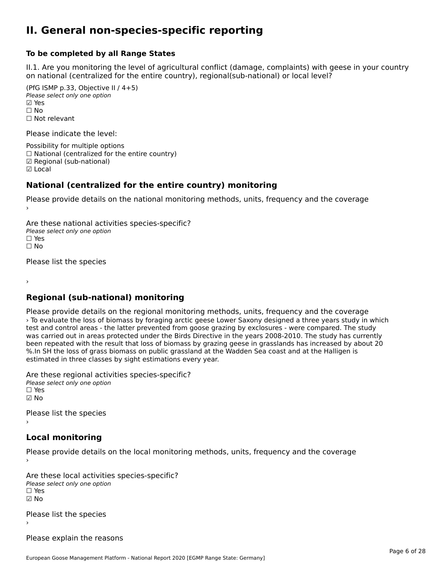#### **II. General non-species-specific reporting**

#### **To be completed by all Range States**

II.1. Are you monitoring the level of agricultural conflict (damage, complaints) with geese in your country n.i. Are you monitoring the lever or agricultural connict (damage, complaints) with g<br>on national (centralized for the entire country), regional(sub-national) or local level?

(PfG ISMP p.33, Objective II  $(4+5)$ ) Please select only one option ☑ Yes**☑ Yes**<br>□ No □ No<br>□ Not relevant

Please indicate the level:

Possibility for multiple options  $\Box$  National (centralized for the entire country) ☑ Regional (sub-national) ☑ Local

#### **National (centralized for the entire country) monitoring**

Please provide details on the national monitoring methods, units, frequency and the coverage

Are these national activities species-specific? ∩ne enese national activity<br>Please select only one option ☐ No $\Box$  No

Please list the species

›

#### **Regional (sub-national) monitoring**

Please provide details on the regional monitoring methods, units, frequency and the coverage › To evaluate the loss of biomass by foraging arctic geese Lower Saxony designed a three years study in which The evaluate the loss of biomass by foraging arctic geese Lower Baxony designed a timee years study in with the<br>test and control areas - the latter prevented from goose grazing by exclosures - were compared. The study test and control areas - the latter prevented from goose grazing by exclosures - were compared. The study has<br>was carried out in areas protected under the Birds Directive in the years 2008-2010. The study has currently been repeated with the result that loss of biomass by grazing geese in grasslands has increased by about 20 been repeated with the result that loss of biomass by grazing geese in grassianus has increased by a<br>%.In SH the loss of grass biomass on public grassland at the Wadden Sea coast and at the Halligen is estimated in three classes by sight estimations every year.

Are these regional activities species-specific? ∩ne these regional activ<br>Please select only one option ☑ No

Please list the species ›

# **Local monitoring**

Please provide details on the local monitoring methods, units, frequency and the coverage

Are these local activities species-specific? ∩ne enese local decrimed.<br>Please select only one option ☑ No

Please list the species ›

Please explain the reasons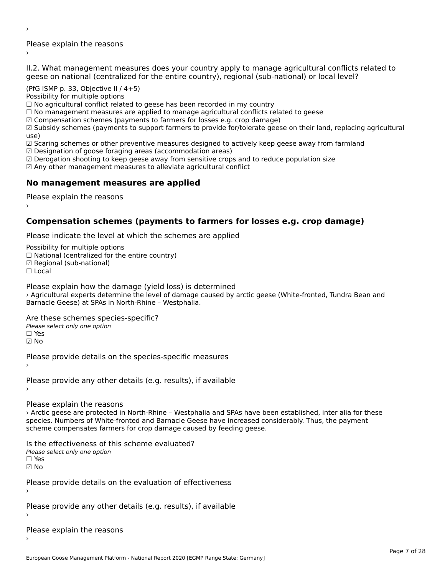Please explain the reasons ›

›

II.2. What management measures does your country apply to manage agricultural conflicts related to

(PfG ISMP p. 33, Objective II  $/$  4+5)

Possibility for multiple options

rossibility for multiple options<br>□ No agricultural conflict related to geese has been recorded in my country  $\Box$  No agricultural conflict related to geese has been recorded in high conflict  $r$ 

 $\Box$  Comparing the farmers are applied to finally eagliculum at conflicts text.

 $\boxtimes$  Compensation schemes (payments to farmers for losses e.g. crop damage)

ක compensation schemes (payments to farmers for losses e.g. crop damage)<br>Manus in their languarity chemes (payments to support farmers to provide for/tolerate geese on their land, replacing agricultural

use,<br>☑ Scaring schemes or other preventive measures designed to actively keep geese away from farmland

⊠ Scaring scrientes of other preventive measures designed to a<br>☑ Designation of goose foraging areas (accommodation areas)

ය Designation or goose foraging areas (accommodation areas)<br>☑ Derogation shooting to keep geese away from sensitive crops and to reduce population size

☑ Any other management measures to alleviate agricultural conflict

# **No management measures are applied**

Please explain the reasons ›

### **Compensation schemes (payments to farmers for losses e.g. crop damage)**

Please indicate the level at which the schemes are applied

Possibility for multiple options rossibility for multiple options<br>□ National (centralized for the entire country) □ National (centralized io<br>☑ Regional (sub-national)  $\Box$  Local

Please explain how the damage (yield loss) is determined

› Agricultural experts determine the level of damage caused by arctic geese (White-fronted, Tundra Bean and Barnacle Geese) at SPAs in North-Rhine – Westphalia.

Are these schemes species-specific?Please select only one option☐ Yes

☑ No

Please provide details on the species-specific measures

Please provide any other details (e.g. results), if available

Please explain the reasons

› Arctic geese are protected in North-Rhine – Westphalia and SPAs have been established, inter alia for these species. Numbers of White-fronted and Barnacle Geese have increased considerably. Thus, the payment species. Numbers of Wille-Holled and Barnacle Geese have increased contributions.

Is the effectiveness of this scheme evaluated? □ CIC CILCCLIVENC55 OF C<br>Please select only one option  $\square$  Yes

☑ No

›

Please provide details on the evaluation of effectiveness

Please provide any other details (e.g. results), if available

Please explain the reasons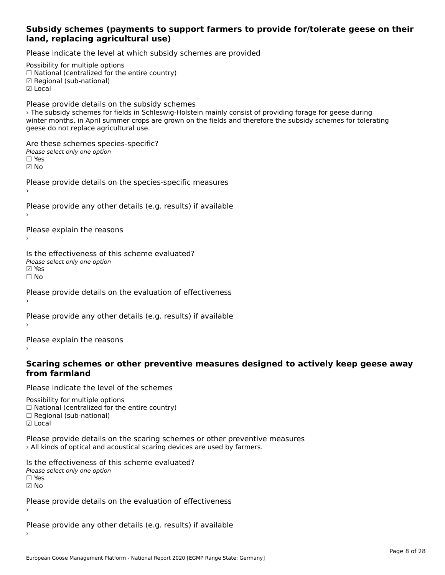#### **Subsidy schemes (payments to support farmers to provide for/tolerate geese on their land, replacing agricultural use)**

Please indicate the level at which subsidy schemes are provided

Possibility for multiple options rossibility for multiple options<br>□ National (centralized for the entire country) □ Regional (centranzed to<br>☑ Regional (sub-national) ☑ Local

Please provide details on the subsidy schemes › The subsidy schemes for fields in Schleswig-Holstein mainly consist of providing forage for geese during The subsidy schemes for helds in Schleswig-Holstein manny consist or providing forage for geese during<br>winter months, in April summer crops are grown on the fields and therefore the subsidy schemes for tolerating geese do not replace agricultural use.

Are these schemes species-specific? ∩ne these senemes spe<br>Please select only one option ☑ No

Please provide details on the species-specific measures

Please provide any other details (e.g. results) if available

Please explain the reasons

Is the effectiveness of this scheme evaluated? □ CHECONCHESS OF C<br>Please select only one option **☑ Yes**<br>□ No

Please provide details on the evaluation of effectiveness

Please provide any other details (e.g. results) if available

Please explain the reasons

#### **Scaring schemes or other preventive measures designed to actively keep geese away from farmland**

Please indicate the level of the schemes

Possibility for multiple options гозывниу тог нингріе орноть<br>□ National (centralized for the entire country)  $\Box$  Regional (Sub-national)

Please provide details on the scaring schemes or other preventive measures › All kinds of optical and acoustical scaring devices are used by farmers.

Is the effectiveness of this scheme evaluated?Please select only one option☐ Yes☑ No

Please provide details on the evaluation of effectiveness ›

Please provide any other details (e.g. results) if available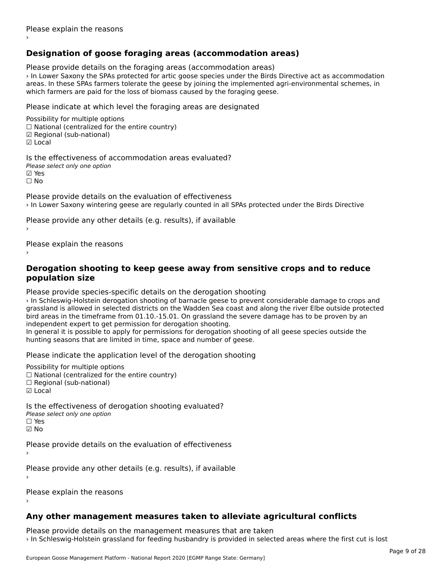# **Designation of goose foraging areas (accommodation areas)**

Please provide details on the foraging areas (accommodation areas)

› In Lower Saxony the SPAs protected for artic goose species under the Birds Directive act as accommodation areas. In these SPAs farmers tolerate the geese by joining the implemented agri-environmental schemes, in areas. In these SFAS farmers tolerate the geese by joining the implemented a<br>which farmers are paid for the loss of biomass caused by the foraging geese.

Please indicate at which level the foraging areas are designated

Possibility for multiple options rossibility for multiple options<br>□ National (centralized for the entire country) □ National (centralized io<br>☑ Regional (sub-national) ☑ Local

Is the effectiveness of accommodation areas evaluated?Please select only one option ☑ Yes☐ No

Please provide details on the evaluation of effectiveness › In Lower Saxony wintering geese are regularly counted in all SPAs protected under the Birds Directive

Please provide any other details (e.g. results), if available

Please explain the reasons

#### **Derogation shooting to keep geese away from sensitive crops and to reduce population size**

Please provide species-specific details on the derogation shooting

› In Schleswig-Holstein derogation shooting of barnacle geese to prevent considerable damage to crops and grassland is allowed in selected districts on the Wadden Sea coast and along the river Elbe outside protected grassiand is allowed in selected districts on the wadden sea coast and along the river Libe odtside prote<br>bird areas in the timeframe from 01.10.-15.01. On grassland the severe damage has to be proven by an bird areas in the timename nonrot.10.-15.01. On grassiand transport<br>independent expert to get permission for derogation shooting.

Independent expert to get permission for derogation shooting.<br>In general it is possible to apply for permissions for derogation shooting of all geese species outside the In general it is possible to apply for permissions for derogation shooth<br>hunting seasons that are limited in time, space and number of geese.

Please indicate the application level of the derogation shooting

Possibility for multiple options

- rossibility for multiple options<br>□ National (centralized for the entire country)
- □ National (centralized io<br>□ Regional (sub-national)
- ☑ Local

Is the effectiveness of derogation shooting evaluated? Please select only one option

☐ Yes

☑ No

Please provide details on the evaluation of effectiveness

Please provide any other details (e.g. results), if available

Please explain the reasons

# **Any other management measures taken to alleviate agricultural conflicts**

Please provide details on the management measures that are taken › In Schleswig-Holstein grassland for feeding husbandry is provided in selected areas where the first cut is lost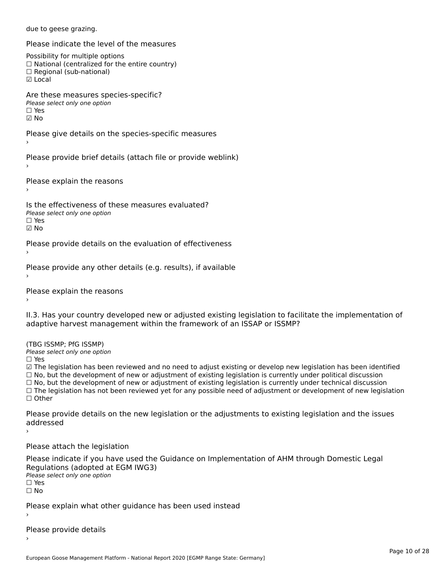due to geese grazing.

Please indicate the level of the measures

Possibility for multiple options

rossibility for multiple options<br>□ National (centralized for the entire country)

□ National (centralized io<br>□ Regional (sub-national)

☑ Local

Are these measures species-specific?

ric criese measures spe<br>Please select only one option

☐ Yes

☑ No

Please give details on the species-specific measures

›

Please provide brief details (attach file or provide weblink)

Please explain the reasons

Is the effectiveness of these measures evaluated?Please select only one option

☐ Yes

☑ No

Please provide details on the evaluation of effectiveness

Please provide any other details (e.g. results), if available

Please explain the reasons

II.3. Has your country developed new or adjusted existing legislation to facilitate the implementation of adaptive harvest management within the framework of an ISSAP or ISSMP?

(TBG ISSMP; PfG ISSMP)

Please select only one option ☐ Yes

☑ The legislation has been reviewed and no need to adjust existing or develop new legislation has been identified ⊠ The regislation has been reviewed and no need to adjust existing or develop new regislation has been ident<br>□ No, but the development of new or adjustment of existing legislation is currently under political discussion  $□$  No, but the development of new or adjustment of existing legislation is currently under technical discussion<br> $□$  No, but the development of new or adjustment of existing legislation is currently under technical discus  $\Box$  The legislation has not been reviewed yet for any possible need of adjustment or development of new legislation ☐ Other

Please provide details on the new legislation or the adjustments to existing legislation and the issues addressed

›

Please attach the legislation

Please indicate if you have used the Guidance on Implementation of AHM through Domestic Legal Regulations (adopted at EGM IWG3) Please select only one optionriease<br>□ Yes □ Yes<br>□ No

Please explain what other guidance has been used instead

Please provide details

European Goose Management Platform - National Report 2020 [EGMP Range State: Germany]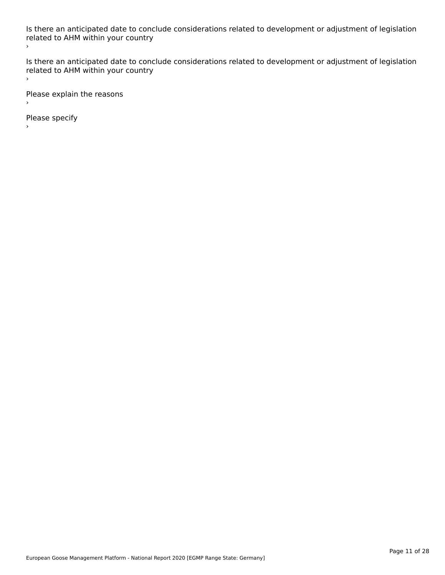Is there an anticipated date to conclude considerations related to development or adjustment of legislation is there an anticipated date to cont<br>related to AHM within your country ›

Is there an anticipated date to conclude considerations related to development or adjustment of legislation related to Arm within your country  $\bar{\phantom{a}}$ 

Please explain the reasons

Please specify

European Goose Management Platform - National Report 2020 [EGMP Range State: Germany]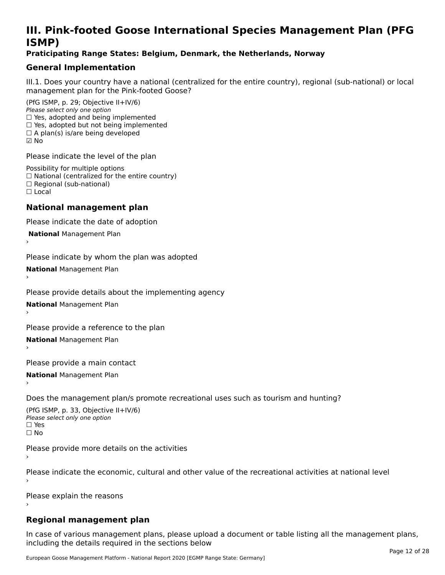# **III. Pink-footed Goose International Species Management Plan (PFG**III. FIIIN-IUULEU GUUSE IIILEI II**atiunai Species Management Fian (FTG**<br>ISMD)

#### **Praticipating Range States: Belgium, Denmark, the Netherlands, Norway**

# **General Implementation**

III.1. Does your country have a national (centralized for the entire country), regional (sub-national) or local

(PfG ISMP, p. 29; Objective II+IV/6) Please select only one option *riease select only one option*<br>□ Yes, adopted and being implemented  $\Box$  res, adopted and being implemented<br> $\Box$  Yes, adopted but not being implemented  $\Box$  A plan(s) is/are being developed ☑ No

Please indicate the level of the plan

Possibility for multiple options rossibility for multiple options<br>□ National (centralized for the entire country) □ National (centralized io<br>□ Regional (sub-national) ☐ Local

#### **National management plan**

Please indicate the date of adoption

 **National** Management Plan

›

Please indicate by whom the plan was adopted

**National** Management Plan ›

Please provide details about the implementing agency

**National** Management Plan ›

Please provide a reference to the plan

**National** Management Plan ›

Please provide a main contact

**National** Management Plan ›

Does the management plan/s promote recreational uses such as tourism and hunting?

(PfG ISMP, p. 33, Objective II+IV/6) Please select only one optionPlease select only one option  $\square$  Yes ☐ No

Please provide more details on the activities

Please indicate the economic, cultural and other value of the recreational activities at national level

Please explain the reasons

### **Regional management plan**

In case of various management plans, please upload a document or table listing all the management plans, $\frac{1}{2}$  case of various management plans, please uploa including the details required in the sections below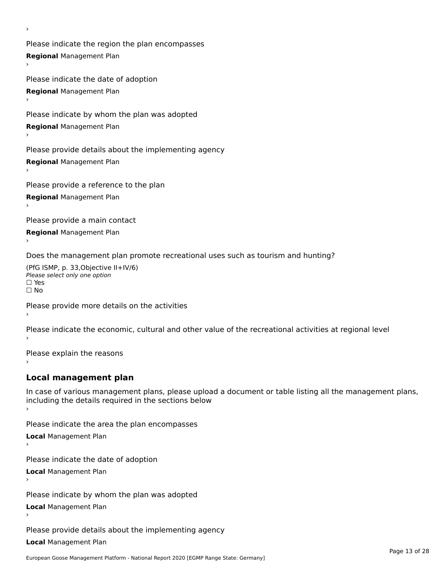Please indicate the region the plan encompasses **Regional** Management Plan ›

Please indicate the date of adoption **Regional** Management Plan ›

Please indicate by whom the plan was adopted

**Regional** Management Plan

›

Please provide details about the implementing agency

**Regional** Management Plan

Please provide a reference to the plan

**Regional** Management Plan

Please provide a main contact

**Regional** Management Plan

Does the management plan promote recreational uses such as tourism and hunting?

(PfG ISMP, p. 33,Objective II+IV/6) ∩∩ וויוכו פון<br>Please select only one option<br>□ Yes □ Yes<br>□ No

Please provide more details on the activities

Please indicate the economic, cultural and other value of the recreational activities at regional level

Please explain the reasons ›

### **Local management plan**

In case of various management plans, please upload a document or table listing all the management plans, In case of various management plans, please uploa<br>including the details required in the sections below

Please indicate the area the plan encompasses

**Local** Management Plan

Please indicate the date of adoption

**Local** Management Plan›

Please indicate by whom the plan was adopted

**Local** Management Plan

Please provide details about the implementing agency

**Local** Management Plan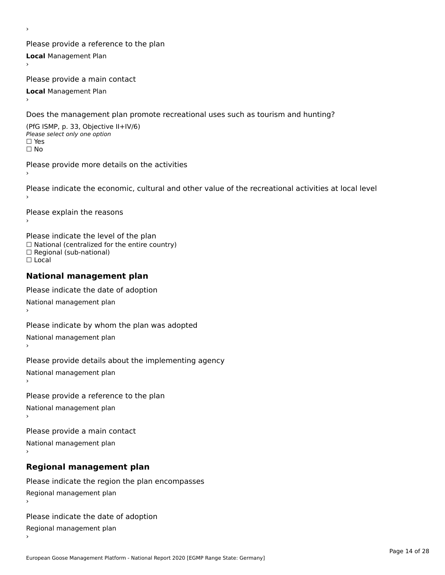Please provide a reference to the plan **Local** Management Plan

Please provide a main contact

**Local** Management Plan

›

Does the management plan promote recreational uses such as tourism and hunting?

(PfG ISMP, p. 33, Objective II+IV/6) Please select only one option☐ Yes☐ No

Please provide more details on the activities

Please indicate the economic, cultural and other value of the recreational activities at local level

Please explain the reasons ›

Please indicate the level of the plan ∩ease marcate the lever of the plan<br>□ National (centralized for the entire country) □ National (centralized io<br>□ Regional (sub-national) ☐ Local

#### **National management plan**

Please indicate the date of adoption National management plan

Please indicate by whom the plan was adopted National management plan ›

Please provide details about the implementing agency

National management plan

Please provide a reference to the plan

National management plan

Please provide a main contact

National management plan

# **Regional management plan**

Please indicate the region the plan encompasses Regional management plan

Please indicate the date of adoption

Regional management plan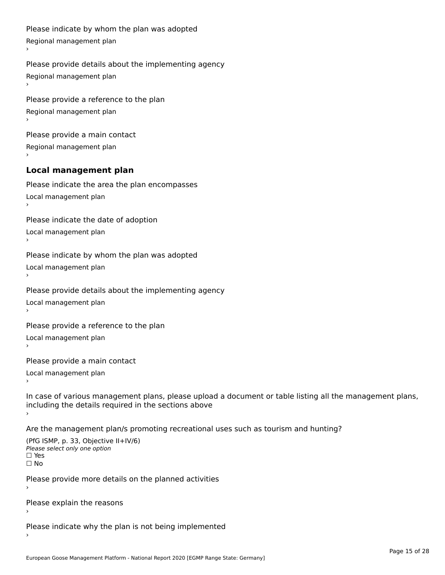```
Please indicate by whom the plan was adopted Regional management plan
Please provide details about the implementing agency Regional management plan
Please provide a reference to the plan Regional management plan
Please provide a main contact Regional management plan
Local management plan
Please indicate the area the plan encompasses Local management plan›Please indicate the date of adoption Local management plan١,
Please indicate by whom the plan was adopted Local management plan›Please provide details about the implementing agency Local management plan١,
Please provide a reference to the plan Local management plan›Please provide a main contact Local management plan١,
In case of various management plans, please upload a document or table listing all the management plans,in case or various management plans, please upload
including the details required in the sections above
Are the management plan/s promoting recreational uses such as tourism and hunting?
```

```
(PfG ISMP, p. 33, Objective II+IV/6)
Please select only one option☐ Yes☐ No
```
Please provide more details on the planned activities

Please explain the reasons›

Please indicate why the plan is not being implemented›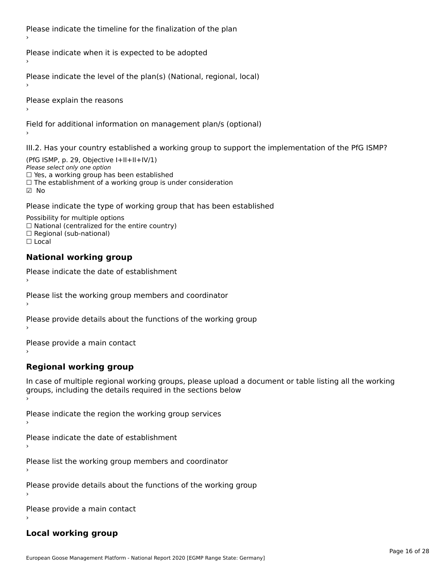Please indicate the timeline for the finalization of the plan

Please indicate when it is expected to be adopted

Please indicate the level of the plan(s) (National, regional, local)

Please explain the reasons

Field for additional information on management plan/s (optional)

III.2. Has your country established a working group to support the implementation of the PfG ISMP?

(PfG ISMP, p. 29, Objective  $I+II+II+IV/1$ ) Please select only one option □ Yes, a working group has been established □ Tes, a working group has been established<br>□ The establishment of a working group is under consideration

Please indicate the type of working group that has been established

Possibility for multiple options  $\Box$  National (centralized for the entire country)  $\Box$  Regional (sub-national)  $\Box$  Local

#### **National working group**

›

Please indicate the date of establishment

Please list the working group members and coordinator ›

Please provide details about the functions of the working group ›

Please provide a main contact ›

**Regional working group**

In case of multiple regional working groups, please upload a document or table listing all the working In case of multiple regional working groups, please upload a<br>groups, including the details required in the sections below

Please indicate the region the working group services ›

Please indicate the date of establishment ›

Please list the working group members and coordinator ›

Please provide details about the functions of the working group ›

Please provide a main contact ›

#### **Local working group**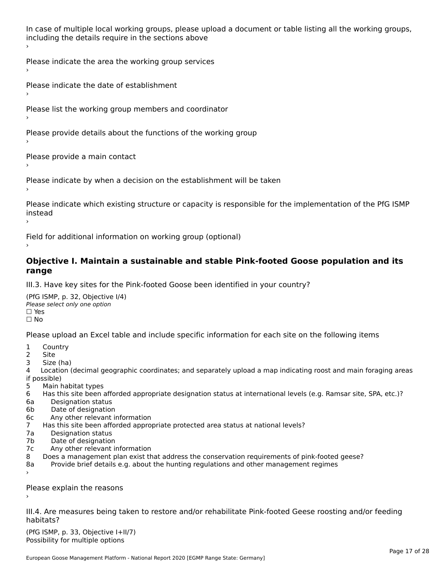In case of multiple local working groups, please upload a document or table listing all the working groups, in case of multiple local working groups, please up ›

Please indicate the area the working group services ›

Please indicate the date of establishment ›

Please list the working group members and coordinator

›

Please provide details about the functions of the working group ›

Please provide a main contact ›

Please indicate by when a decision on the establishment will be taken

Please indicate which existing structure or capacity is responsible for the implementation of the PfG ISMP instead ›

Field for additional information on working group (optional)

#### **Objective I. Maintain a sustainable and stable Pink-footed Goose population and its range**range

III.3. Have key sites for the Pink-footed Goose been identified in your country?

(PfG ISMP, p. 32, Objective I/4)Please select only one option ☐ Yes☐ No

Please upload an Excel table and include specific information for each site on the following items

- $1 \quad \alpha$
- 2 Site
- 2 Site<br>3 Size (ha)

د حدد una<br>4 Location (decimal geographic coordinates; and separately upload a map indicating roost and main foraging areas 4 Location<br>if possible)

- 5 Main habitat types
- 6 Has this site been afforded appropriate designation status at international levels (e.g. Ramsar site, SPA, etc.)? 6. Bestweetter status
- 6a Designation status<br>6b Date of designation
- 
- 6c Any other relevant information
- 7 Has this site been afforded appropriate protected area status at national levels? 7a Designation status
- 7a Designation status<br>7b Date of designation
- 
- 7c Any other relevant information
- 8 Does a management plan exist that address the conservation requirements of pink-footed geese?
- 8a Provide brief details e.g. about the hunting regulations and other management regimes ›

Please explain the reasons

III.4. Are measures being taken to restore and/or rehabilitate Pink-footed Geese roosting and/or feeding habitats?

 $(PCI GMP, p. 33, Qb)$  is the I+II/7) Possibility for multiple optionsPossibility for multiple options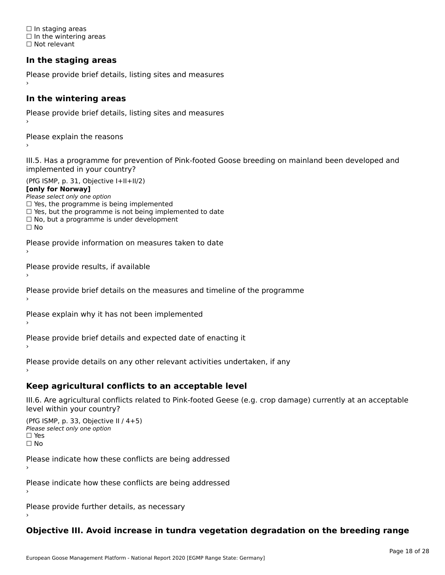☐ In staging areas □ in staging areas<br>□ In the wintering areas ☐ Not relevant

# **In the staging areas**

```
Please provide brief details, listing sites and measures ›
```
#### **In the wintering areas**

Please provide brief details, listing sites and measures ›

Please explain the reasons

III.5. Has a programme for prevention of Pink-footed Goose breeding on mainland been developed and implemented in your country?

(PfG ISMP, p. 31, Objective I+II+II/2)

**[only for Norway]**

Please select only one option riease select only one option<br>□ Yes, the programme is being implemented

 $\Box$  ies, the programme is being implemented to date  $\Box$  Yes, but the programme is not being implemented to date

 $\Box$  No, but a programme is under development

Please provide information on measures taken to date

Please provide results, if available

Please provide brief details on the measures and timeline of the programme

Please explain why it has not been implemented

Please provide brief details and expected date of enacting it

Please provide details on any other relevant activities undertaken, if any›

**Keep agricultural conflicts to an acceptable level**

III.6. Are agricultural conflicts related to Pink-footed Geese (e.g. crop damage) currently at an acceptable

```
(PfG ISMP, p. 33, Objective II (4+5))
Please select only one option
☐ Yes☐ No
```
Please indicate how these conflicts are being addressed

Please indicate how these conflicts are being addressed›

Please provide further details, as necessary ›

# **Objective III. Avoid increase in tundra vegetation degradation on the breeding range**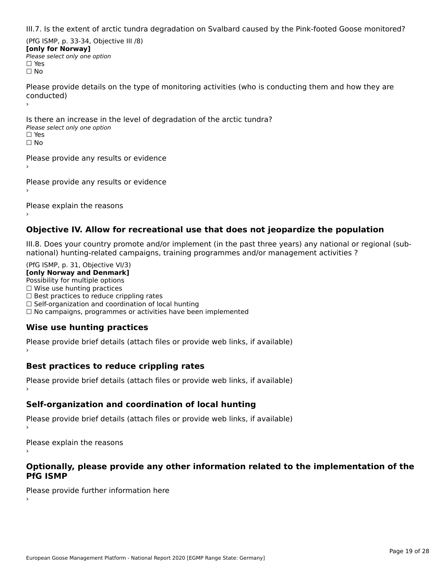III.7. Is the extent of arctic tundra degradation on Svalbard caused by the Pink-footed Goose monitored?

(PfG ISMP, p. 33-34, Objective III /8) **[only for Norway] Please select only one option** □ Yes<br>□ No

Please provide details on the type of monitoring activities (who is conducting them and how they are riease prov ›

Is there an increase in the level of degradation of the arctic tundra? □ CitCre dir increduce in c<br>Please select only one option □ Yes<br>□ No

Please provide any results or evidence

Please provide any results or evidence

Please explain the reasons

›

#### **Objective IV. Allow for recreational use that does not jeopardize the population**

III.8. Does your country promote and/or implement (in the past three years) any national or regional (sub $m.6.198$  your country promove and/or miplement (in the past time years) any national or

(PfG ISMP, p. 31, Objective VI/3) **[only Norway and Denmark]** Possibility for multiple options ☐ Wise use hunting practices  $\Box$  wise use numing practices<br> $\Box$  Best practices to reduce crippling rates □ Best practices to reduce crippinig rates<br>□ Self-organization and coordination of local hunting □ Sen-organization and coordination or local nunting<br>□ No campaigns, programmes or activities have been implemented

# **Wise use hunting practices**

Please provide brief details (attach files or provide web links, if available) ›

### **Best practices to reduce crippling rates**

Please provide brief details (attach files or provide web links, if available)

# **Self-organization and coordination of local hunting**

Please provide brief details (attach files or provide web links, if available)

Please explain the reasons

#### **Optionally, please provide any other information related to the implementation of the PfG ISMP**

Please provide further information here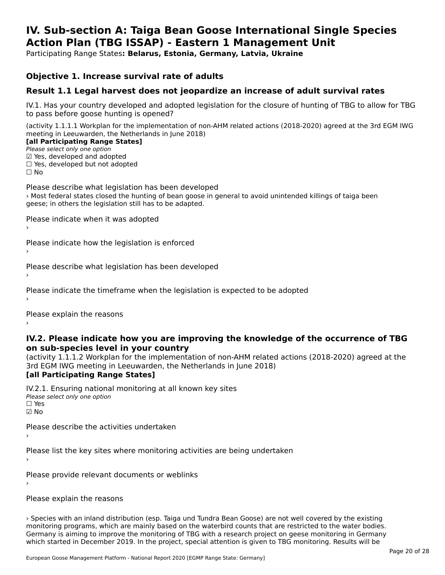#### **IV. Sub-section A: Taiga Bean Goose International Single Species Action Plan (TBG ISSAP) - Eastern 1 Management UnitAction Plan (TBG ISSAP) - Eastern 1 Management Unit**

Participating Range States**: Belarus, Estonia, Germany, Latvia, Ukraine** 

#### **Objective 1. Increase survival rate of adults**

### **Result 1.1 Legal harvest does not jeopardize an increase of adult survival rates**

IV.1. Has your country developed and adopted legislation for the closure of hunting of TBG to allow for TBG IV.1. Thas your country developed and add<br>to pass before goose hunting is opened?

(activity 1.1.1.1 Workplan for the implementation of non-AHM related actions (2018-2020) agreed at the 3rd EGM IWG meeting in Leeuwarden, the Netherlands in June 2018) **[all Participating Range States]**

#### [all Participating Range States]

Please select only one option ☑ Yes, developed and adopted

 ☐ Yes, developed but not adopted $\Box$  ies, developed but not adopted

Please describe what legislation has been developed › Most federal states closed the hunting of bean goose in general to avoid unintended killings of taiga been geese; in others the legislation still has to be adapted.

Please indicate when it was adopted

Please indicate how the legislation is enforced

Please describe what legislation has been developed

Please indicate the timeframe when the legislation is expected to be adopted

Please explain the reasons

#### **IV.2. Please indicate how you are improving the knowledge of the occurrence of TBG on sub-species level in your country**on sub-species level in your country

(activity 1.1.1.2 Workplan for the implementation of non-AHM related actions (2018-2020) agreed at the 3rd EGM IWG meeting in Leeuwarden, the Netherlands in June 2018) **[all Participating Range States]**

IV.2.1. Ensuring national monitoring at all known key sites <del>■ Western Chroning</del> Hational<br>Please select only one option ☑ No

Please describe the activities undertaken›

Please list the key sites where monitoring activities are being undertaken

Please provide relevant documents or weblinks

Please explain the reasons

› Species with an inland distribution (esp. Taiga und Tundra Bean Goose) are not well covered by the existing monitoring programs, which are mainly based on the waterbird counts that are restricted to the water bodies. Germany is aiming to improve the monitoring of TBG with a research project on geese monitoring in Germany<br>Germany is aiming to improve the monitoring of TBG with a research project on geese monitoring in Germany which started in December 2019. In the project, special attention is given to TBG monitoring. Results will be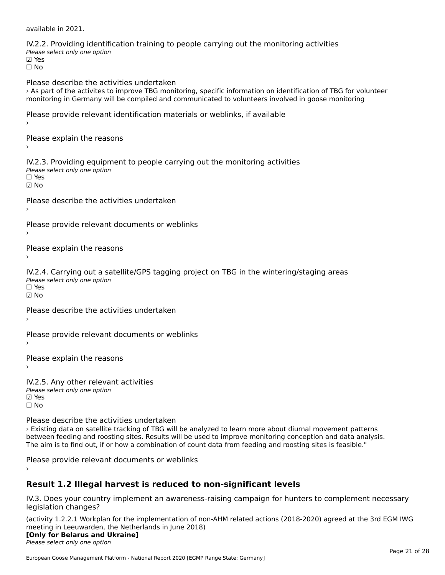available in 2021.

| IV.2.2. Providing identification training to people carrying out the monitoring activities<br>Please select only one option<br>⊠ Yes<br>$\Box$ No                                                                                                                                                                                                                                       |
|-----------------------------------------------------------------------------------------------------------------------------------------------------------------------------------------------------------------------------------------------------------------------------------------------------------------------------------------------------------------------------------------|
| Please describe the activities undertaken<br>> As part of the activites to improve TBG monitoring, specific information on identification of TBG for volunteer<br>monitoring in Germany will be compiled and communicated to volunteers involved in goose monitoring                                                                                                                    |
| Please provide relevant identification materials or weblinks, if available<br>>                                                                                                                                                                                                                                                                                                         |
| Please explain the reasons                                                                                                                                                                                                                                                                                                                                                              |
| IV.2.3. Providing equipment to people carrying out the monitoring activities<br>Please select only one option<br>$\Box$ Yes<br>$\boxtimes$ No                                                                                                                                                                                                                                           |
| Please describe the activities undertaken                                                                                                                                                                                                                                                                                                                                               |
| Please provide relevant documents or weblinks                                                                                                                                                                                                                                                                                                                                           |
| Please explain the reasons<br>$\rightarrow$                                                                                                                                                                                                                                                                                                                                             |
| IV.2.4. Carrying out a satellite/GPS tagging project on TBG in the wintering/staging areas<br>Please select only one option<br>$\Box$ Yes<br>$\boxdot$ No                                                                                                                                                                                                                               |
| Please describe the activities undertaken<br>$\rightarrow$                                                                                                                                                                                                                                                                                                                              |
| Please provide relevant documents or weblinks                                                                                                                                                                                                                                                                                                                                           |
| Please explain the reasons<br>$\rightarrow$                                                                                                                                                                                                                                                                                                                                             |
| IV.2.5. Any other relevant activities<br>Please select only one option<br>⊠ Yes<br>$\Box$ No                                                                                                                                                                                                                                                                                            |
| Please describe the activities undertaken<br>> Existing data on satellite tracking of TBG will be analyzed to learn more about diurnal movement patterns<br>between feeding and roosting sites. Results will be used to improve monitoring conception and data analysis.<br>The aim is to find out, if or how a combination of count data from feeding and roosting sites is feasible." |

Please provide relevant documents or weblinks

### **Result 1.2 Illegal harvest is reduced to non-significant levels**

IV.3. Does your country implement an awareness-raising campaign for hunters to complement necessary rv.5. Does your courr<br>legislation changes?

(activity 1.2.2.1 Workplan for the implementation of non-AHM related actions (2018-2020) agreed at the 3rd EGM IWG meeting in Leeuwarden, the Netherlands in June 2018) **[Only for Belarus and Ukraine]**

#### **Please select only one option**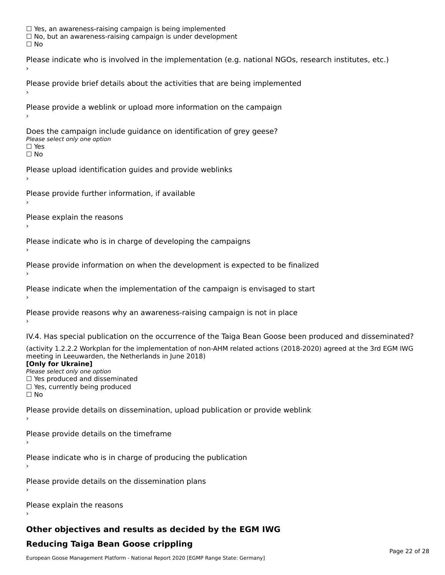☐ Yes, an awareness-raising campaign is being implemented □ Tes, an awareness-raising campaign is being implemented<br>□ No, but an awareness-raising campaign is under development Please indicate who is involved in the implementation (e.g. national NGOs, research institutes, etc.) Please provide brief details about the activities that are being implemented Please provide a weblink or upload more information on the campaign Does the campaign include guidance on identification of grey geese? **DOCS THE CAMPATSH THE**<br>Please select only one option □ Yes<br>□ No Please upload identification guides and provide weblinks Please provide further information, if available Please explain the reasons Please indicate who is in charge of developing the campaigns Please provide information on when the development is expected to be finalized Please indicate when the implementation of the campaign is envisaged to start Please provide reasons why an awareness-raising campaign is not in place IV.4. Has special publication on the occurrence of the Taiga Bean Goose been produced and disseminated? (activity 1.2.2.2 Workplan for the implementation of non-AHM related actions (2018-2020) agreed at the 3rd EGM IWG meeting in Leeuwarden, the Netherlands in June 2018) **[Only for Ukraine]**[Only for Ukraine] **LOTTLY TOT ONTAILLET**<br>Please select only one option *Please select only one option*<br>□ Yes produced and disseminated □ Tes produced and dissemmate<br>□ Yes, currently being produced Please provide details on dissemination, upload publication or provide weblink Please provide details on the timeframe Please indicate who is in charge of producing the publication Please provide details on the dissemination plans Please explain the reasons

# **Other objectives and results as decided by the EGM IWG**

# **Reducing Taiga Bean Goose crippling**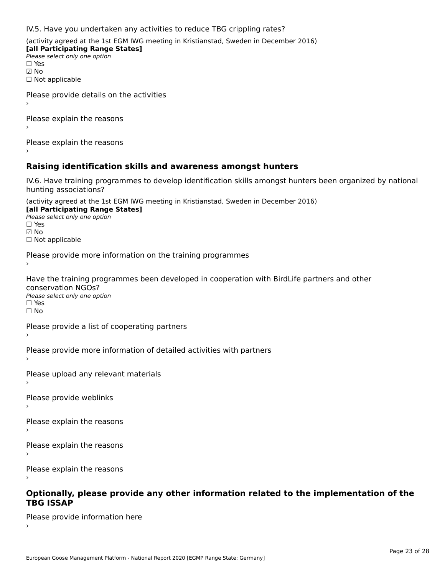IV.5. Have you undertaken any activities to reduce TBG crippling rates?

(activity agreed at the 1st EGM IWG meeting in Kristianstad, Sweden in December 2016)

**[all Participating Range States] Please select only one option** ☑ No☐ Not applicable

Please provide details on the activities

Please explain the reasons›

Please explain the reasons›

### **Raising identification skills and awareness amongst hunters**

IV.6. Have training programmes to develop identification skills amongst hunters been organized by national hunting associations?

(activity agreed at the 1st EGM IWG meeting in Kristianstad, Sweden in December 2016) **[all Participating Range States]**[all Participating Range States] **Lan Tarticipating Range**<br>Please select only one option ☐ Yes☑ No☐ Not applicable

Please provide more information on the training programmes

Have the training programmes been developed in cooperation with BirdLife partners and other conservation NGOs?<br>Please select only one option ☐ Yes☐ No

Please provide a list of cooperating partners

Please provide more information of detailed activities with partners

Please upload any relevant materials

Please provide weblinks

Please explain the reasons›

Please explain the reasons

Please explain the reasons›

# **Optionally, please provide any other information related to the implementation of the TBG ISSAP**

Please provide information here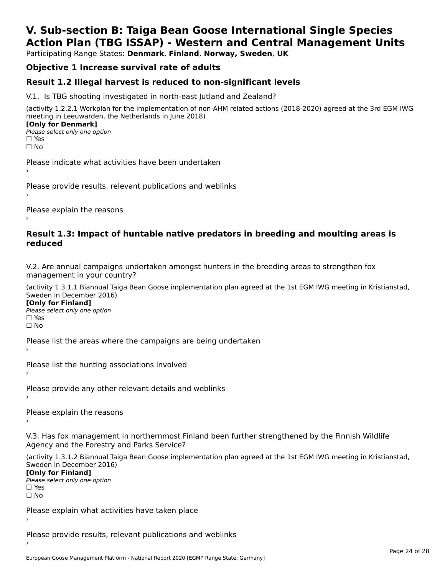# **V. Sub-section B: Taiga Bean Goose International Single SpeciesAction Plan (TBG ISSAP) - Western and Central Management Units**

Participating Range States: **Denmark**, **Finland**, **Norway, Sweden**, **UK**

# **Objective 1 Increase survival rate of adults**

### **Result 1.2 Illegal harvest is reduced to non-significant levels**

V.1. Is TBG shooting investigated in north-east Jutland and Zealand?

(activity 1.2.2.1 Workplan for the implementation of non-AHM related actions (2018-2020) agreed at the 3rd EGM IWG meeting in Leeuwarden, the Netherlands in June 2018) **[Only for Denmark] □ Please select only one option** 

 $\overline{ }$  No

Please indicate what activities have been undertaken›

Please provide results, relevant publications and weblinks ›

Please explain the reasons

#### **Result 1.3: Impact of huntable native predators in breeding and moulting areas is reduced**

V.2. Are annual campaigns undertaken amongst hunters in the breeding areas to strengthen fox v.z. Are annual campaigns und<br>management in your country?

(activity 1.3.1.1 Biannual Taiga Bean Goose implementation plan agreed at the 1st EGM IWG meeting in Kristianstad, Sweden in December 2016)

**[Only for Finland]** Please select only one optionriease<br>□ Yes ים וכ<br>⊡ No

Please list the areas where the campaigns are being undertaken

Please list the hunting associations involved

Please provide any other relevant details and weblinks ›

Please explain the reasons

V.3. Has fox management in northernmost Finland been further strengthened by the Finnish Wildlife v.5. Has fox management in northernmost F<br>Agency and the Forestry and Parks Service?

(activity 1.3.1.2 Biannual Taiga Bean Goose implementation plan agreed at the 1st EGM IWG meeting in Kristianstad, Sweden in December 2016) Sweden in December 2016)

[Only for Finland]

**Please select only one option** □ Yes<br>□ No

Please explain what activities have taken place

Please provide results, relevant publications and weblinks ›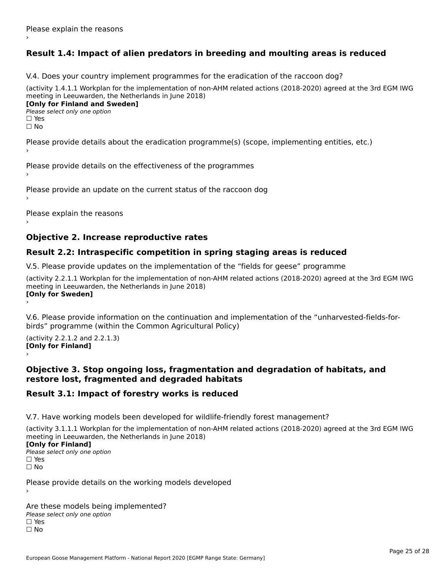# **Result 1.4: Impact of alien predators in breeding and moulting areas is reduced**

V.4. Does your country implement programmes for the eradication of the raccoon dog?

(activity 1.4.1.1 Workplan for the implementation of non-AHM related actions (2018-2020) agreed at the 3rd EGM IWG meeting in Leeuwarden, the Netherlands in June 2018) **[Only for Finland and Sweden]**

**Please select only one option** 

□ Yes<br>□ No

Please provide details about the eradication programme(s) (scope, implementing entities, etc.)

Please provide details on the effectiveness of the programmes

Please provide an update on the current status of the raccoon dog

Please explain the reasons

### **Objective 2. Increase reproductive rates**

### **Result 2.2: Intraspecific competition in spring staging areas is reduced**

V.5. Please provide updates on the implementation of the "fields for geese" programme

(activity 2.2.1.1 Workplan for the implementation of non-AHM related actions (2018-2020) agreed at the 3rd EGM IWG meeting in Leeuwarden, the Netherlands in June 2018) Loury for Swedent

V.6. Please provide information on the continuation and implementation of the "unharvested-fields-forbirds" programme (within the Common Agricultural Policy)birds" programme (within the Common Agricultural Policy)

(activity 2.2.1.2 and 2.2.1.3) **[Only for Finland]** ›

#### **Objective 3. Stop ongoing loss, fragmentation and degradation of habitats, and restore lost, fragmented and degraded habitats**

### **Result 3.1: Impact of forestry works is reduced**

V.7. Have working models been developed for wildlife-friendly forest management?

(activity 3.1.1.1 Workplan for the implementation of non-AHM related actions (2018-2020) agreed at the 3rd EGM IWG meeting in Leeuwarden, the Netherlands in June 2018)

#### **[Only for Finland]**

**Please select only one option** □ Yes<br>□ No

Please provide details on the working models developed

Are these models being implemented? ∩ne enese moders being<br>Please select only one option □ Yes<br>□ No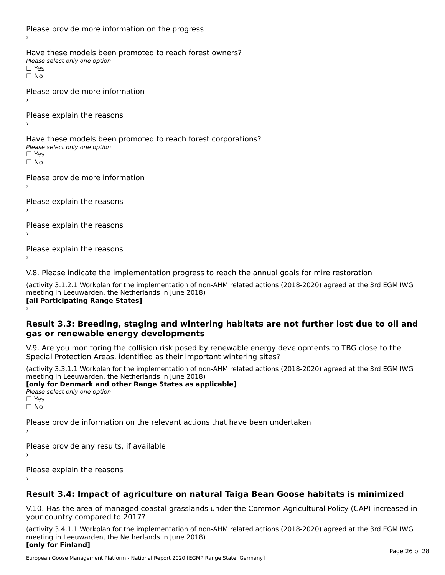Please provide more information on the progress Have these models been promoted to reach forest owners? ∩ave these models bee<br>Please select only one option □ Yes<br>□ No Please provide more information Please explain the reasons ›Have these models been promoted to reach forest corporations? ∩ave these models bee<br>Please select only one option □ Yes<br>□ No Please provide more information Please explain the reasons ›Please explain the reasons›Please explain the reasons›

V.8. Please indicate the implementation progress to reach the annual goals for mire restoration

(activity 3.1.2.1 Workplan for the implementation of non-AHM related actions (2018-2020) agreed at the 3rd EGM IWG meeting in Leeuwarden, the Netherlands in June 2018) **[all Participating Range States]** ›

**Result 3.3: Breeding, staging and wintering habitats are not further lost due to oil and gas or renewable energy developments**gas or renewable energy developments

V.9. Are you monitoring the collision risk posed by renewable energy developments to TBG close to the Special Protection Areas, identified as their important wintering sites?

(activity 3.3.1.1 Workplan for the implementation of non-AHM related actions (2018-2020) agreed at the 3rd EGM IWG meeting in Leeuwarden, the Netherlands in June 2018) **[only for Denmark and other Range States as applicable]**

```
Please select only one option
□ Yes<br>□ No
```
Please provide information on the relevant actions that have been undertaken ›

Please provide any results, if available

Please explain the reasons

# **Result 3.4: Impact of agriculture on natural Taiga Bean Goose habitats is minimized**

V.10. Has the area of managed coastal grasslands under the Common Agricultural Policy (CAP) increased in

(activity 3.4.1.1 Workplan for the implementation of non-AHM related actions (2018-2020) agreed at the 3rd EGM IWG meeting in Leeuwarden, the Netherlands in June 2018) **[only for Finland]**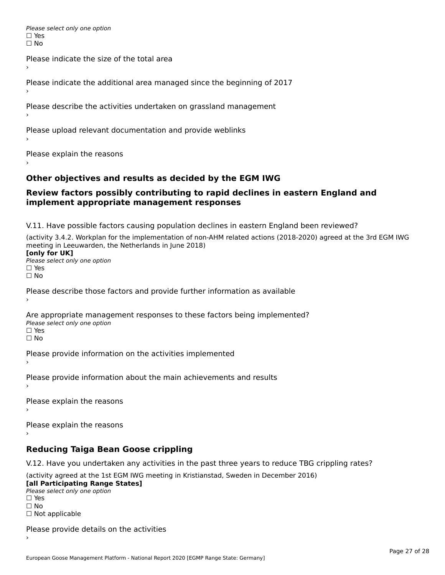Please select only one option □ Yes<br>□ No

Please indicate the size of the total area›

Please indicate the additional area managed since the beginning of 2017

Please describe the activities undertaken on grassland management

Please upload relevant documentation and provide weblinks

Please explain the reasons

### **Other objectives and results as decided by the EGM IWG**

#### **Review factors possibly contributing to rapid declines in eastern England and implement appropriate management responses**implement appropriate management responses

V.11. Have possible factors causing population declines in eastern England been reviewed?

(activity 3.4.2. Workplan for the implementation of non-AHM related actions (2018-2020) agreed at the 3rd EGM IWG meeting in Leeuwarden, the Netherlands in June 2018)<br>**[only for UK]** 

**∐omy for OR**<br>Please select only one option □ Yes<br>□ No

Please describe those factors and provide further information as available

Are appropriate management responses to these factors being implemented? Please select only one option ים<br>⊡ No

Please provide information on the activities implemented

Please provide information about the main achievements and results›

Please explain the reasons

Please explain the reasons

#### **Reducing Taiga Bean Goose crippling**

V.12. Have you undertaken any activities in the past three years to reduce TBG crippling rates?

(activity agreed at the 1st EGM IWG meeting in Kristianstad, Sweden in December 2016) **[all Participating Range States]**

[all Participating Range States] Please select only one option☐ Yesים<br>⊡ No □ Not applicable

Please provide details on the activities